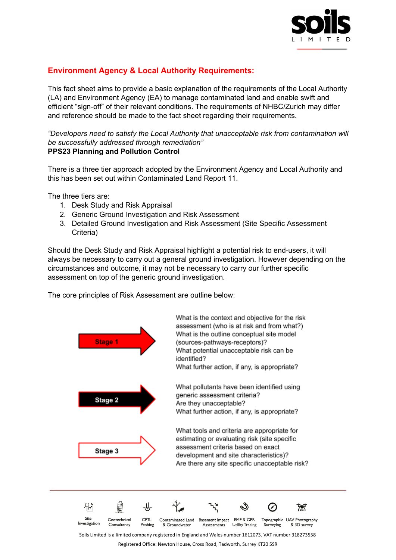

## **Environment Agency & Local Authority Requirements:**

This fact sheet aims to provide a basic explanation of the requirements of the Local Authority (LA) and Environment Agency (EA) to manage contaminated land and enable swift and efficient "sign-off" of their relevant conditions. The requirements of NHBC/Zurich may differ and reference should be made to the fact sheet regarding their requirements.

*"Developers need to satisfy the Local Authority that unacceptable risk from contamination will be successfully addressed through remediation"* **PPS23 Planning and Pollution Control**

There is a three tier approach adopted by the Environment Agency and Local Authority and this has been set out within Contaminated Land Report 11.

The three tiers are:

- 1. Desk Study and Risk Appraisal
- 2. Generic Ground Investigation and Risk Assessment
- 3. Detailed Ground Investigation and Risk Assessment (Site Specific Assessment Criteria)

Should the Desk Study and Risk Appraisal highlight a potential risk to end-users, it will always be necessary to carry out a general ground investigation. However depending on the circumstances and outcome, it may not be necessary to carry our further specific assessment on top of the generic ground investigation.

The core principles of Risk Assessment are outline below:



Registered Office: Newton House, Cross Road, Tadworth, Surrey KT20 5SR